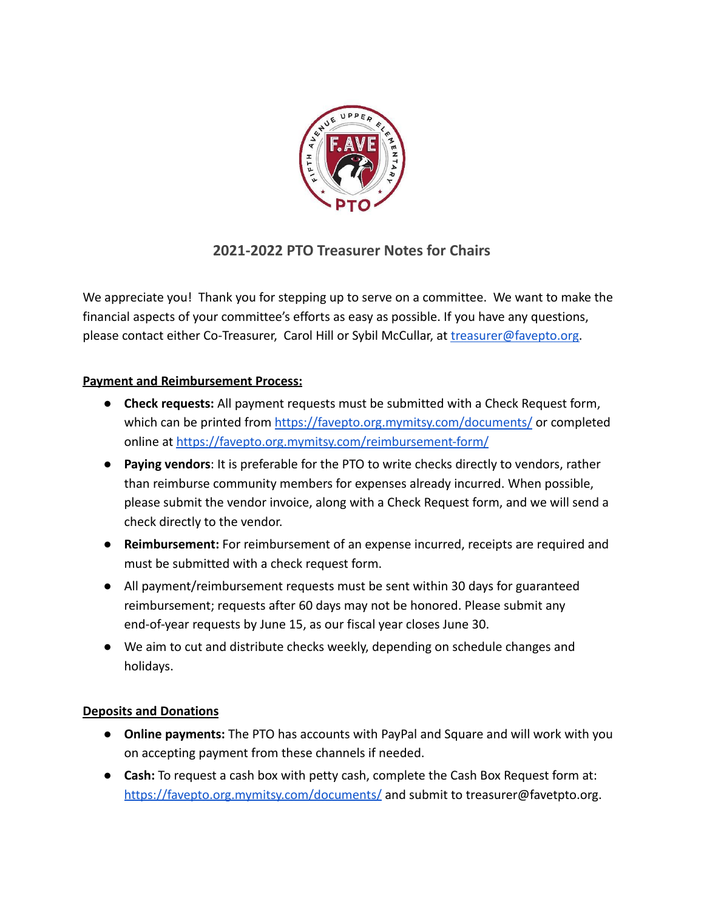

## **2021-2022 PTO Treasurer Notes for Chairs**

We appreciate you! Thank you for stepping up to serve on a committee. We want to make the financial aspects of your committee's efforts as easy as possible. If you have any questions, please contact either Co-Treasurer, Carol Hill or Sybil McCullar, at *[treasurer@favepto.org.](mailto:treasurer@favepto.org)* 

## **Payment and Reimbursement Process:**

- **Check requests:** All payment requests must be submitted with a Check Request form, which can be printed from <https://favepto.org.mymitsy.com/documents/> or completed online at <https://favepto.org.mymitsy.com/reimbursement-form/>
- **Paying vendors**: It is preferable for the PTO to write checks directly to vendors, rather than reimburse community members for expenses already incurred. When possible, please submit the vendor invoice, along with a Check Request form, and we will send a check directly to the vendor.
- **Reimbursement:** For reimbursement of an expense incurred, receipts are required and must be submitted with a check request form.
- All payment/reimbursement requests must be sent within 30 days for guaranteed reimbursement; requests after 60 days may not be honored. Please submit any end-of-year requests by June 15, as our fiscal year closes June 30.
- We aim to cut and distribute checks weekly, depending on schedule changes and holidays.

## **Deposits and Donations**

- **Online payments:** The PTO has accounts with PayPal and Square and will work with you on accepting payment from these channels if needed.
- **Cash:** To request a cash box with petty cash, complete the Cash Box Request form at: <https://favepto.org.mymitsy.com/documents/> and submit to treasurer@favetpto.org.